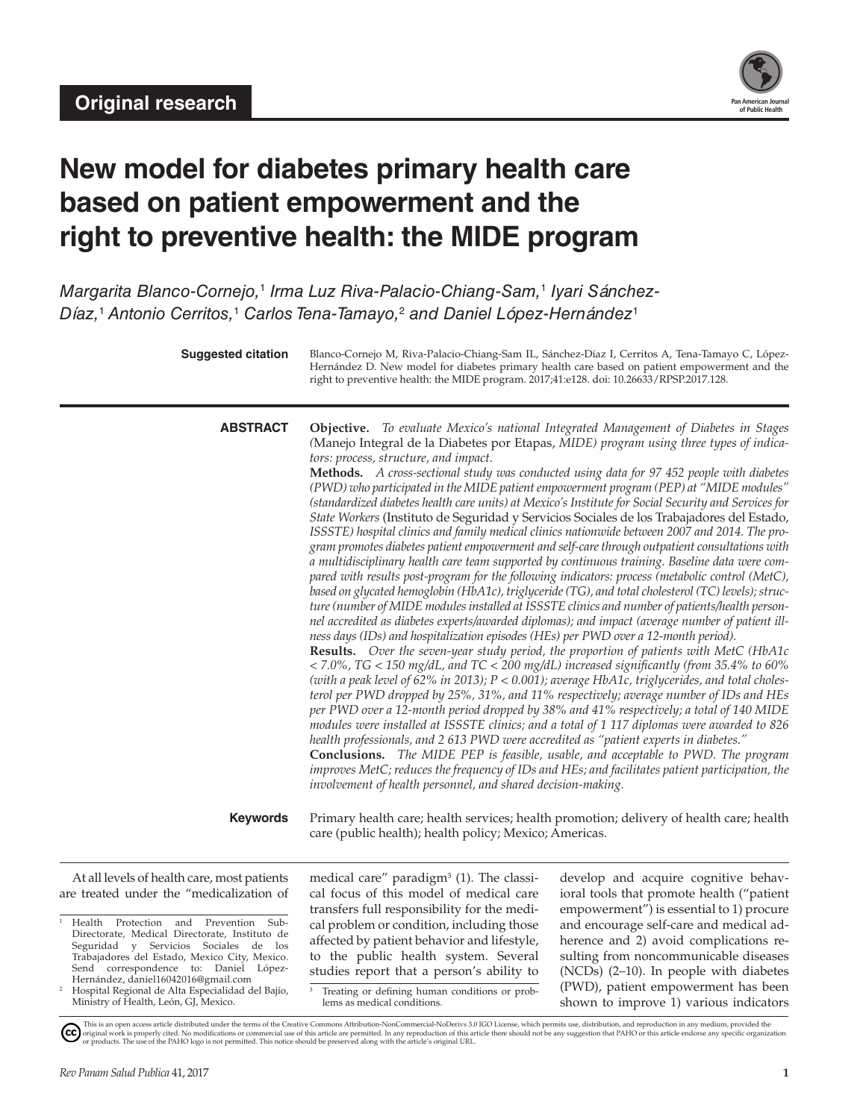

# **New model for diabetes primary health care based on patient empowerment and the right to preventive health: the MIDE program**

*Margarita Blanco-Cornejo,*<sup>1</sup>  *Irma Luz Riva-Palacio-Chiang-Sam,*<sup>1</sup>  *Iyari Sánchez-Díaz,*<sup>1</sup>  *Antonio Cerritos,*<sup>1</sup>  *Carlos Tena-Tamayo,*<sup>2</sup>  *and Daniel López-Hernández*<sup>1</sup>

| <b>Suggested citation</b>                                                               | Blanco-Cornejo M, Riva-Palacio-Chiang-Sam IL, Sánchez-Díaz I, Cerritos A, Tena-Tamayo C, López-<br>Hernández D. New model for diabetes primary health care based on patient empowerment and the<br>right to preventive health: the MIDE program. 2017;41:e128. doi: 10.26633/RPSP.2017.128.                                                                                                                                                                                                                                                                                                                                                                                                                                                                                                                                                                                                                                                                                                                                                                                                                                                                                                                                                                                                                                                                                                                                                                                                                                                                                                                                                                                                                                                                                                                                                                                                                                                                                                                                                                                                                                                                                                                                                                                                                                                                                               |  |  |
|-----------------------------------------------------------------------------------------|-------------------------------------------------------------------------------------------------------------------------------------------------------------------------------------------------------------------------------------------------------------------------------------------------------------------------------------------------------------------------------------------------------------------------------------------------------------------------------------------------------------------------------------------------------------------------------------------------------------------------------------------------------------------------------------------------------------------------------------------------------------------------------------------------------------------------------------------------------------------------------------------------------------------------------------------------------------------------------------------------------------------------------------------------------------------------------------------------------------------------------------------------------------------------------------------------------------------------------------------------------------------------------------------------------------------------------------------------------------------------------------------------------------------------------------------------------------------------------------------------------------------------------------------------------------------------------------------------------------------------------------------------------------------------------------------------------------------------------------------------------------------------------------------------------------------------------------------------------------------------------------------------------------------------------------------------------------------------------------------------------------------------------------------------------------------------------------------------------------------------------------------------------------------------------------------------------------------------------------------------------------------------------------------------------------------------------------------------------------------------------------------|--|--|
| <b>ABSTRACT</b><br><b>Keywords</b>                                                      | <b>Objective.</b> To evaluate Mexico's national Integrated Management of Diabetes in Stages<br>(Manejo Integral de la Diabetes por Etapas, MIDE) program using three types of indica-<br>tors: process, structure, and impact.<br>Methods. A cross-sectional study was conducted using data for 97 452 people with diabetes<br>(PWD) who participated in the MIDE patient empowerment program (PEP) at "MIDE modules"<br>(standardized diabetes health care units) at Mexico's Institute for Social Security and Services for<br>State Workers (Instituto de Seguridad y Servicios Sociales de los Trabajadores del Estado,<br>ISSSTE) hospital clinics and family medical clinics nationwide between 2007 and 2014. The pro-<br>gram promotes diabetes patient empowerment and self-care through outpatient consultations with<br>a multidisciplinary health care team supported by continuous training. Baseline data were com-<br>pared with results post-program for the following indicators: process (metabolic control (MetC),<br>based on glycated hemoglobin (HbA1c), triglyceride (TG), and total cholesterol (TC) levels); struc-<br>ture (number of MIDE modules installed at ISSSTE clinics and number of patients/health person-<br>nel accredited as diabetes experts/awarded diplomas); and impact (average number of patient ill-<br>ness days (IDs) and hospitalization episodes (HEs) per PWD over a 12-month period).<br><b>Results.</b> Over the seven-year study period, the proportion of patients with MetC (HbA1c<br>$<$ 7.0%, TG $<$ 150 mg/dL, and TC $<$ 200 mg/dL) increased significantly (from 35.4% to 60%<br>(with a peak level of 62% in 2013); P < 0.001); average HbA1c, triglycerides, and total choles-<br>terol per PWD dropped by 25%, 31%, and 11% respectively; average number of IDs and HEs<br>per PWD over a 12-month period dropped by 38% and 41% respectively; a total of 140 MIDE<br>modules were installed at ISSSTE clinics; and a total of 1 117 diplomas were awarded to 826<br>health professionals, and 2 613 PWD were accredited as "patient experts in diabetes."<br><b>Conclusions.</b> The MIDE PEP is feasible, usable, and acceptable to PWD. The program<br>improves MetC; reduces the frequency of IDs and HEs; and facilitates patient participation, the<br>involvement of health personnel, and shared decision-making. |  |  |
|                                                                                         | Primary health care; health services; health promotion; delivery of health care; health<br>care (public health); health policy; Mexico; Americas.                                                                                                                                                                                                                                                                                                                                                                                                                                                                                                                                                                                                                                                                                                                                                                                                                                                                                                                                                                                                                                                                                                                                                                                                                                                                                                                                                                                                                                                                                                                                                                                                                                                                                                                                                                                                                                                                                                                                                                                                                                                                                                                                                                                                                                         |  |  |
| At all levels of health care, most patients<br>are treated under the "medicalization of | develop and acquire cognitive behav-<br>medical care" paradigm $3$ (1). The classi-<br>cal focus of this model of medical care<br>ioral tools that promote health ("patient<br>transfers full responsibility for the medi-<br>empowerment") is essential to 1) procure                                                                                                                                                                                                                                                                                                                                                                                                                                                                                                                                                                                                                                                                                                                                                                                                                                                                                                                                                                                                                                                                                                                                                                                                                                                                                                                                                                                                                                                                                                                                                                                                                                                                                                                                                                                                                                                                                                                                                                                                                                                                                                                    |  |  |

- <sup>1</sup> Health Protection and Prevention Sub-Directorate, Medical Directorate, Instituto de Seguridad y Servicios Sociales de los Trabajadores del Estado, Mexico City, Mexico. Send correspondence to: Daniel López-Hernández, [daniel16042016@gmail.com](mailto:daniel16042016@gmail.com)
- <sup>2</sup> Hospital Regional de Alta Especialidad del Bajío, Ministry of Health, León, GJ, Mexico.

transfers full responsibility for the medical problem or condition, including those affected by patient behavior and lifestyle, to the public health system. Several studies report that a person's ability to

<sup>3</sup> Treating or defining human conditions or problems as medical conditions.

empowerment") is essential to 1) procure and encourage self-care and medical adherence and 2) avoid complications resulting from noncommunicable diseases (NCDs) (2–10). In people with diabetes (PWD), patient empowerment has been shown to improve 1) various indicators

This is an open access article distributed under the terms of the [Creative Commons Attribution-NonCommercial-NoDerivs 3.0 IGO License](https://creativecommons.org/licenses/by-nc-nd/3.0/igo/legalcode), which permits use, distributi[o](https://creativecommons.org/licenses/by-nc-nd/3.0/igo/legalcode)n, and reproduction in any medium, provided the<br>orignal w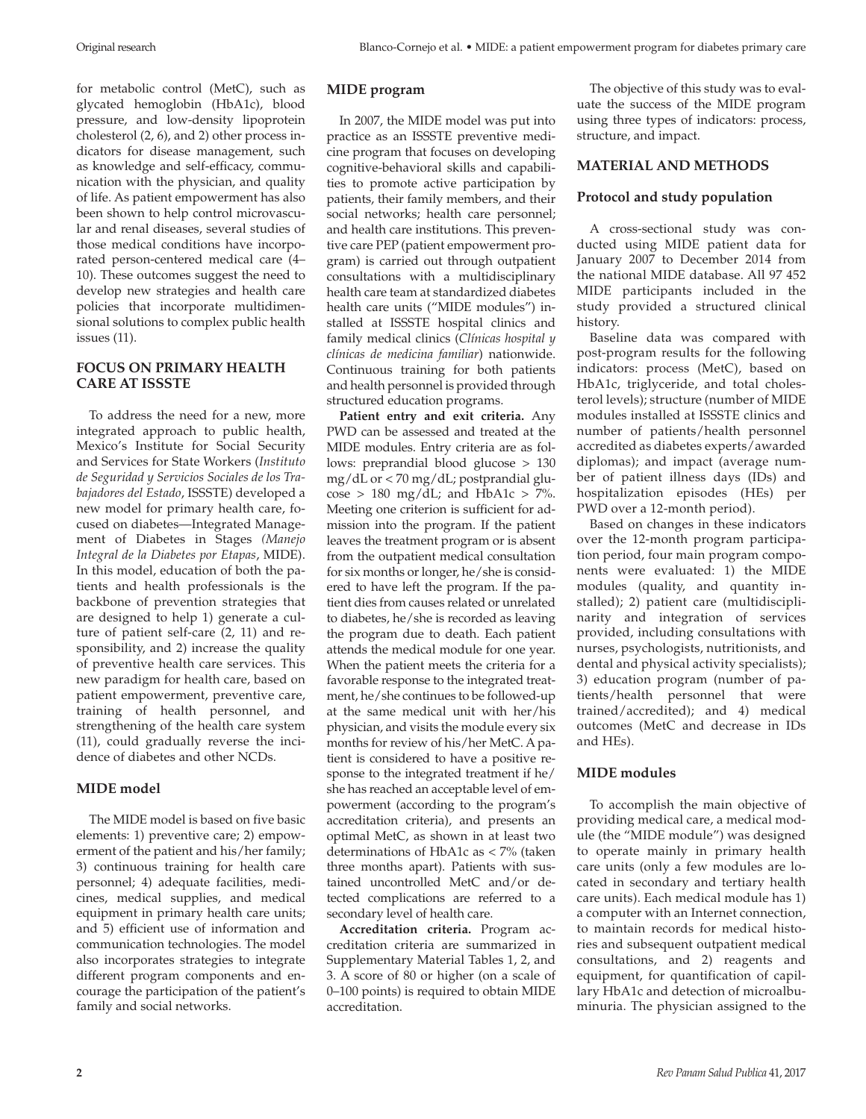for metabolic control (MetC), such as glycated hemoglobin (HbA1c), blood pressure, and low-density lipoprotein cholesterol (2, 6), and 2) other process indicators for disease management, such as knowledge and self-efficacy, communication with the physician, and quality of life. As patient empowerment has also been shown to help control microvascular and renal diseases, several studies of those medical conditions have incorporated person-centered medical care (4– 10). These outcomes suggest the need to develop new strategies and health care policies that incorporate multidimensional solutions to complex public health issues (11).

# **FOCUS ON PRIMARY HEALTH CARE AT ISSSTE**

To address the need for a new, more integrated approach to public health, Mexico's Institute for Social Security and Services for State Workers (*Instituto de Seguridad y Servicios Sociales de los Trabajadores del Estado*, ISSSTE) developed a new model for primary health care, focused on diabetes—Integrated Management of Diabetes in Stages *(Manejo Integral de la Diabetes por Etapas*, MIDE). In this model, education of both the patients and health professionals is the backbone of prevention strategies that are designed to help 1) generate a culture of patient self-care (2, 11) and responsibility, and 2) increase the quality of preventive health care services. This new paradigm for health care, based on patient empowerment, preventive care, training of health personnel, and strengthening of the health care system (11), could gradually reverse the incidence of diabetes and other NCDs.

# **MIDE model**

The MIDE model is based on five basic elements: 1) preventive care; 2) empowerment of the patient and his/her family; 3) continuous training for health care personnel; 4) adequate facilities, medicines, medical supplies, and medical equipment in primary health care units; and 5) efficient use of information and communication technologies. The model also incorporates strategies to integrate different program components and encourage the participation of the patient's family and social networks.

# **MIDE program**

In 2007, the MIDE model was put into practice as an ISSSTE preventive medicine program that focuses on developing cognitive-behavioral skills and capabilities to promote active participation by patients, their family members, and their social networks; health care personnel; and health care institutions. This preventive care PEP (patient empowerment program) is carried out through outpatient consultations with a multidisciplinary health care team at standardized diabetes health care units ("MIDE modules") installed at ISSSTE hospital clinics and family medical clinics (*Clínicas hospital y clínicas de medicina familiar*) nationwide. Continuous training for both patients and health personnel is provided through structured education programs.

**Patient entry and exit criteria.** Any PWD can be assessed and treated at the MIDE modules. Entry criteria are as follows: preprandial blood glucose > 130 mg/dL or < 70 mg/dL; postprandial glucose > 180 mg/dL; and HbA1c > 7%. Meeting one criterion is sufficient for admission into the program. If the patient leaves the treatment program or is absent from the outpatient medical consultation for six months or longer, he/she is considered to have left the program. If the patient dies from causes related or unrelated to diabetes, he/she is recorded as leaving the program due to death. Each patient attends the medical module for one year. When the patient meets the criteria for a favorable response to the integrated treatment, he/she continues to be followed-up at the same medical unit with her/his physician, and visits the module every six months for review of his/her MetC. A patient is considered to have a positive response to the integrated treatment if he/ she has reached an acceptable level of empowerment (according to the program's accreditation criteria), and presents an optimal MetC, as shown in at least two determinations of HbA1c as < 7% (taken three months apart). Patients with sustained uncontrolled MetC and/or detected complications are referred to a secondary level of health care.

**Accreditation criteria.** Program accreditation criteria are summarized in [Supplementary Material Tables 1, 2, and](http://new.paho.org/journal/index.php?option=com_docman&view=download&slug=128-blanco-cornejo-supplem&Itemid=) [3.](http://new.paho.org/journal/index.php?option=com_docman&view=download&slug=128-blanco-cornejo-supplem&Itemid=) A score of 80 or higher (on a scale of 0–100 points) is required to obtain MIDE accreditation.

The objective of this study was to evaluate the success of the MIDE program using three types of indicators: process, structure, and impact.

# **MATERIAL AND METHODS**

# **Protocol and study population**

A cross-sectional study was conducted using MIDE patient data for January 2007 to December 2014 from the national MIDE database. All 97 452 MIDE participants included in the study provided a structured clinical history.

Baseline data was compared with post-program results for the following indicators: process (MetC), based on HbA1c, triglyceride, and total cholesterol levels); structure (number of MIDE modules installed at ISSSTE clinics and number of patients/health personnel accredited as diabetes experts/awarded diplomas); and impact (average number of patient illness days (IDs) and hospitalization episodes (HEs) per PWD over a 12-month period).

Based on changes in these indicators over the 12-month program participation period, four main program components were evaluated: 1) the MIDE modules (quality, and quantity installed); 2) patient care (multidisciplinarity and integration of services provided, including consultations with nurses, psychologists, nutritionists, and dental and physical activity specialists); 3) education program (number of patients/health personnel that were trained/accredited); and 4) medical outcomes (MetC and decrease in IDs and HEs).

# **MIDE modules**

To accomplish the main objective of providing medical care, a medical module (the "MIDE module") was designed to operate mainly in primary health care units (only a few modules are located in secondary and tertiary health care units). Each medical module has 1) a computer with an Internet connection, to maintain records for medical histories and subsequent outpatient medical consultations, and 2) reagents and equipment, for quantification of capillary HbA1c and detection of microalbuminuria. The physician assigned to the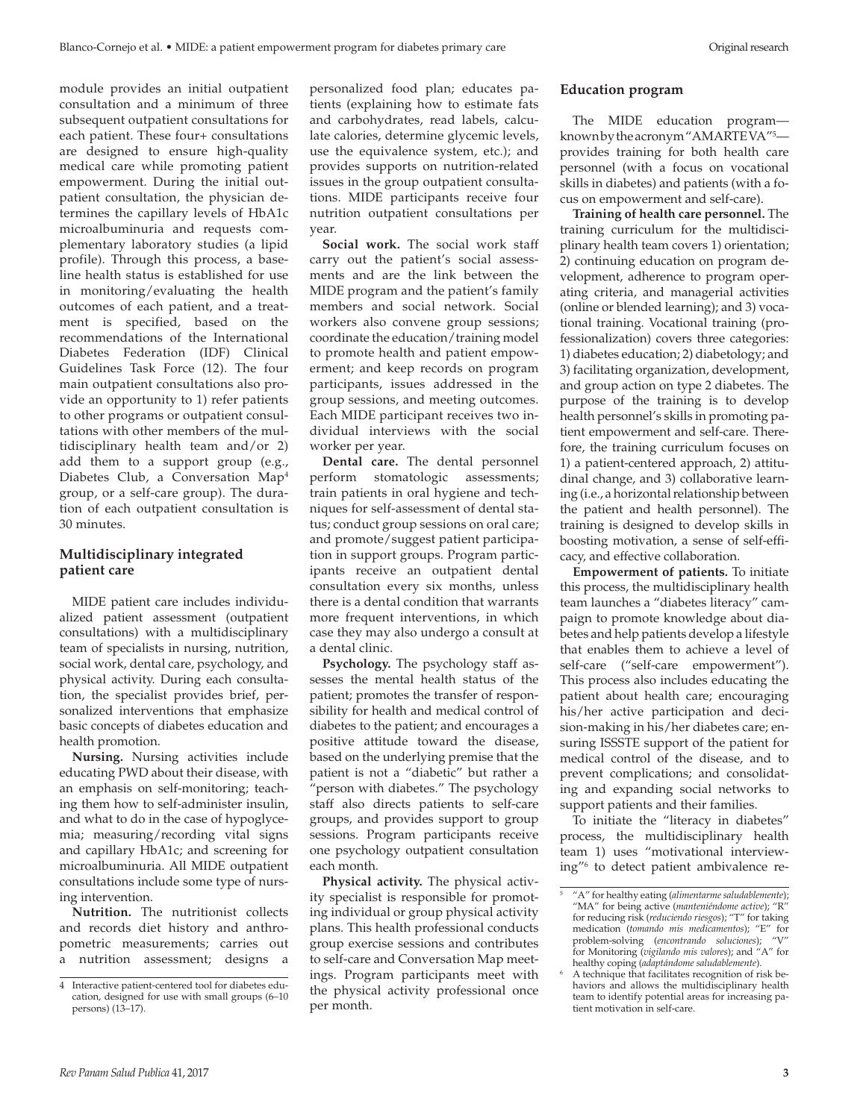module provides an initial outpatient consultation and a minimum of three subsequent outpatient consultations for each patient. These four+ consultations are designed to ensure high-quality medical care while promoting patient empowerment. During the initial outpatient consultation, the physician determines the capillary levels of HbA1c microalbuminuria and requests complementary laboratory studies (a lipid profile). Through this process, a baseline health status is established for use in monitoring/evaluating the health outcomes of each patient, and a treatment is specified, based on the recommendations of the International Diabetes Federation (IDF) Clinical Guidelines Task Force (12). The four main outpatient consultations also provide an opportunity to 1) refer patients to other programs or outpatient consultations with other members of the multidisciplinary health team and/or 2) add them to a support group (e.g., Diabetes Club, a Conversation Map4 group, or a self-care group). The duration of each outpatient consultation is 30 minutes.

# **Multidisciplinary integrated patient care**

MIDE patient care includes individualized patient assessment (outpatient consultations) with a multidisciplinary team of specialists in nursing, nutrition, social work, dental care, psychology, and physical activity. During each consultation, the specialist provides brief, personalized interventions that emphasize basic concepts of diabetes education and health promotion.

**Nursing.** Nursing activities include educating PWD about their disease, with an emphasis on self-monitoring; teaching them how to self-administer insulin, and what to do in the case of hypoglycemia; measuring/recording vital signs and capillary HbA1c; and screening for microalbuminuria. All MIDE outpatient consultations include some type of nursing intervention.

**Nutrition.** The nutritionist collects and records diet history and anthropometric measurements; carries out a nutrition assessment; designs a

personalized food plan; educates patients (explaining how to estimate fats and carbohydrates, read labels, calculate calories, determine glycemic levels, use the equivalence system, etc.); and provides supports on nutrition-related issues in the group outpatient consultations. MIDE participants receive four nutrition outpatient consultations per year.

**Social work.** The social work staff carry out the patient's social assessments and are the link between the MIDE program and the patient's family members and social network. Social workers also convene group sessions; coordinate the education/training model to promote health and patient empowerment; and keep records on program participants, issues addressed in the group sessions, and meeting outcomes. Each MIDE participant receives two individual interviews with the social worker per year.

**Dental care.** The dental personnel perform stomatologic assessments; train patients in oral hygiene and techniques for self-assessment of dental status; conduct group sessions on oral care; and promote/suggest patient participation in support groups. Program participants receive an outpatient dental consultation every six months, unless there is a dental condition that warrants more frequent interventions, in which case they may also undergo a consult at a dental clinic.

**Psychology.** The psychology staff assesses the mental health status of the patient; promotes the transfer of responsibility for health and medical control of diabetes to the patient; and encourages a positive attitude toward the disease, based on the underlying premise that the patient is not a "diabetic" but rather a "person with diabetes." The psychology staff also directs patients to self-care groups, and provides support to group sessions. Program participants receive one psychology outpatient consultation each month.

**Physical activity.** The physical activity specialist is responsible for promoting individual or group physical activity plans. This health professional conducts group exercise sessions and contributes to self-care and Conversation Map meetings. Program participants meet with the physical activity professional once per month.

#### **Education program**

The MIDE education program known by the acronym "AMARTE VA"5 provides training for both health care personnel (with a focus on vocational skills in diabetes) and patients (with a focus on empowerment and self-care).

**Training of health care personnel.** The training curriculum for the multidisciplinary health team covers 1) orientation; 2) continuing education on program development, adherence to program operating criteria, and managerial activities (online or blended learning); and 3) vocational training. Vocational training (professionalization) covers three categories: 1) diabetes education; 2) diabetology; and 3) facilitating organization, development, and group action on type 2 diabetes. The purpose of the training is to develop health personnel's skills in promoting patient empowerment and self-care. Therefore, the training curriculum focuses on 1) a patient-centered approach, 2) attitudinal change, and 3) collaborative learning (i.e., a horizontal relationship between the patient and health personnel). The training is designed to develop skills in boosting motivation, a sense of self-efficacy, and effective collaboration.

**Empowerment of patients.** To initiate this process, the multidisciplinary health team launches a "diabetes literacy" campaign to promote knowledge about diabetes and help patients develop a lifestyle that enables them to achieve a level of self-care ("self-care empowerment"). This process also includes educating the patient about health care; encouraging his/her active participation and decision-making in his/her diabetes care; ensuring ISSSTE support of the patient for medical control of the disease, and to prevent complications; and consolidating and expanding social networks to support patients and their families.

To initiate the "literacy in diabetes" process, the multidisciplinary health team 1) uses "motivational interviewing"6 to detect patient ambivalence re-

<sup>4</sup> Interactive patient-centered tool for diabetes education, designed for use with small groups (6–10 persons) (13–17).

<sup>5</sup> "A" for healthy eating (*alimentarme saludablemente*); "MA" for being active (*manteniéndome active*); "R" for reducing risk (*reduciendo riesgos*); "T" for taking medication (*tomando mis medicamentos*); "E" for problem-solving (*encontrando soluciones*); "V" for Monitoring (*vigilando mis valores*); and "A" for healthy coping (*adaptándome saludablemente*).

<sup>6</sup> A technique that facilitates recognition of risk behaviors and allows the multidisciplinary health team to identify potential areas for increasing patient motivation in self-care.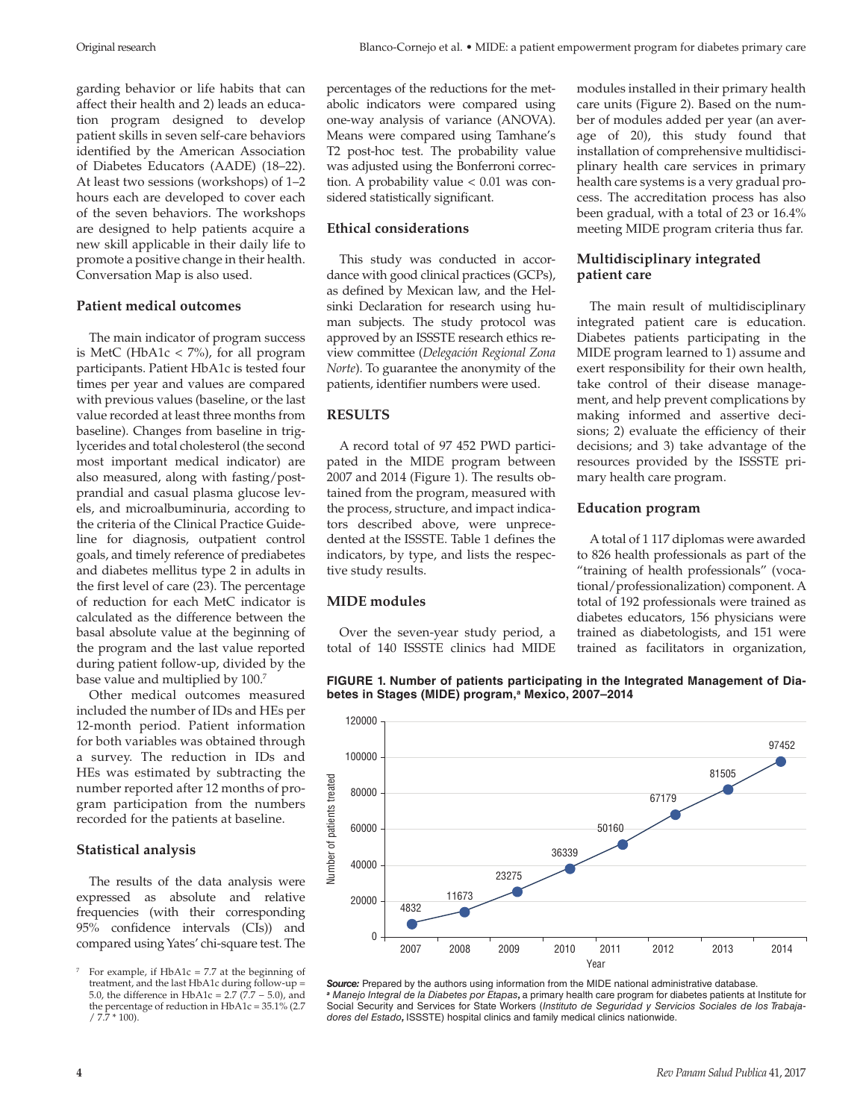garding behavior or life habits that can affect their health and 2) leads an education program designed to develop patient skills in seven self-care behaviors identified by the American Association of Diabetes Educators (AADE) (18–22). At least two sessions (workshops) of 1–2 hours each are developed to cover each of the seven behaviors. The workshops are designed to help patients acquire a new skill applicable in their daily life to promote a positive change in their health. Conversation Map is also used.

# **Patient medical outcomes**

The main indicator of program success is MetC (HbA1c < 7%), for all program participants. Patient HbA1c is tested four times per year and values are compared with previous values (baseline, or the last value recorded at least three months from baseline). Changes from baseline in triglycerides and total cholesterol (the second most important medical indicator) are also measured, along with fasting/postprandial and casual plasma glucose levels, and microalbuminuria, according to the criteria of the Clinical Practice Guideline for diagnosis, outpatient control goals, and timely reference of prediabetes and diabetes mellitus type 2 in adults in the first level of care (23). The percentage of reduction for each MetC indicator is calculated as the difference between the basal absolute value at the beginning of the program and the last value reported during patient follow-up, divided by the base value and multiplied by 100.7

Other medical outcomes measured included the number of IDs and HEs per 12-month period. Patient information for both variables was obtained through a survey. The reduction in IDs and HEs was estimated by subtracting the number reported after 12 months of program participation from the numbers recorded for the patients at baseline.

#### **Statistical analysis**

The results of the data analysis were expressed as absolute and relative frequencies (with their corresponding 95% confidence intervals (CIs)) and compared using Yates' chi-square test. The

percentages of the reductions for the metabolic indicators were compared using one-way analysis of variance (ANOVA). Means were compared using Tamhane's T2 post-hoc test. The probability value was adjusted using the Bonferroni correction. A probability value  $< 0.01$  was considered statistically significant.

# **Ethical considerations**

This study was conducted in accordance with good clinical practices (GCPs), as defined by Mexican law, and the Helsinki Declaration for research using human subjects. The study protocol was approved by an ISSSTE research ethics review committee (*Delegación Regional Zona Norte*). To guarantee the anonymity of the patients, identifier numbers were used.

# **RESULTS**

A record total of 97 452 PWD participated in the MIDE program between 2007 and 2014 (Figure 1). The results obtained from the program, measured with the process, structure, and impact indicators described above, were unprecedented at the ISSSTE. Table 1 defines the indicators, by type, and lists the respective study results.

# **MIDE modules**

Over the seven-year study period, a total of 140 ISSSTE clinics had MIDE modules installed in their primary health care units (Figure 2). Based on the number of modules added per year (an average of 20), this study found that installation of comprehensive multidisciplinary health care services in primary health care systems is a very gradual process. The accreditation process has also been gradual, with a total of 23 or 16.4% meeting MIDE program criteria thus far.

# **Multidisciplinary integrated patient care**

The main result of multidisciplinary integrated patient care is education. Diabetes patients participating in the MIDE program learned to 1) assume and exert responsibility for their own health, take control of their disease management, and help prevent complications by making informed and assertive decisions; 2) evaluate the efficiency of their decisions; and 3) take advantage of the resources provided by the ISSSTE primary health care program.

### **Education program**

A total of 1 117 diplomas were awarded to 826 health professionals as part of the "training of health professionals" (vocational/professionalization) component. A total of 192 professionals were trained as diabetes educators, 156 physicians were trained as diabetologists, and 151 were trained as facilitators in organization,

**FIGURE 1. Number of patients participating in the Integrated Management of Dia**betes in Stages (MIDE) program,ª Mexico, 2007–2014



*Source:* Prepared by the authors using information from the MIDE national administrative database. *<sup>a</sup> Manejo Integral de la Diabetes por Etapas,* a primary health care program for diabetes patients at Institute for Social Security and Services for State Workers (*Instituto de Seguridad y Servicios Sociales de los Trabajadores del Estado,* ISSSTE) hospital clinics and family medical clinics nationwide.

For example, if  $HbA1c = 7.7$  at the beginning of treatment, and the last HbA1c during follow-up = 5.0, the difference in HbA1c =  $2.7 (7.7 - 5.0)$ , and the percentage of reduction in HbA1c = 35.1% (2.7  $/7.7 * 100$ ).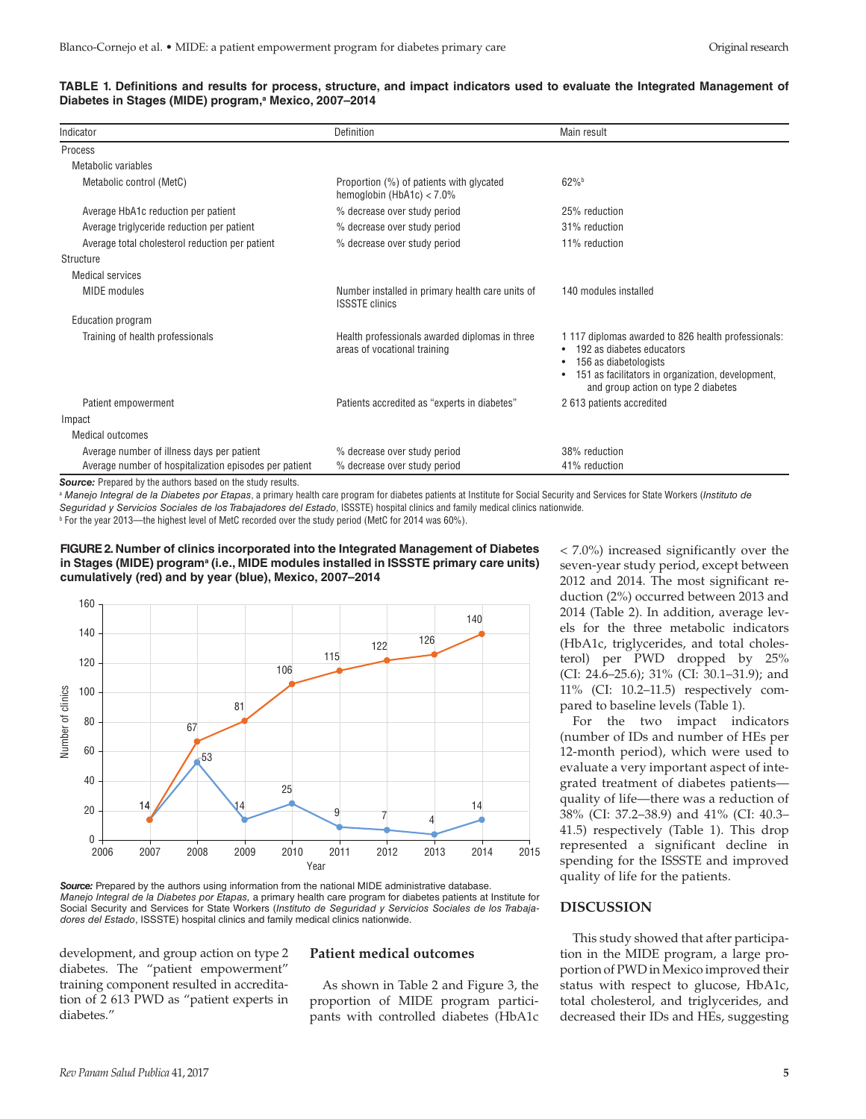| TABLE 1. Definitions and results for process, structure, and impact indicators used to evaluate the Integrated Management of |  |  |
|------------------------------------------------------------------------------------------------------------------------------|--|--|
| Diabetes in Stages (MIDE) program, <sup>a</sup> Mexico, 2007-2014                                                            |  |  |

| Indicator                                              | Definition                                                                     | Main result                                                                                                                                                                                                                 |  |  |
|--------------------------------------------------------|--------------------------------------------------------------------------------|-----------------------------------------------------------------------------------------------------------------------------------------------------------------------------------------------------------------------------|--|--|
|                                                        |                                                                                |                                                                                                                                                                                                                             |  |  |
| Process                                                |                                                                                |                                                                                                                                                                                                                             |  |  |
| Metabolic variables                                    |                                                                                |                                                                                                                                                                                                                             |  |  |
| Metabolic control (MetC)                               | Proportion (%) of patients with glycated<br>hemoglobin (HbA1c) $<$ 7.0%        | $62\%$                                                                                                                                                                                                                      |  |  |
| Average HbA1c reduction per patient                    | % decrease over study period                                                   | 25% reduction                                                                                                                                                                                                               |  |  |
| Average triglyceride reduction per patient             | % decrease over study period                                                   | 31% reduction                                                                                                                                                                                                               |  |  |
| Average total cholesterol reduction per patient        | % decrease over study period                                                   | 11% reduction                                                                                                                                                                                                               |  |  |
| Structure                                              |                                                                                |                                                                                                                                                                                                                             |  |  |
| Medical services                                       |                                                                                |                                                                                                                                                                                                                             |  |  |
| <b>MIDE</b> modules                                    | Number installed in primary health care units of<br><b>ISSSTE clinics</b>      | 140 modules installed                                                                                                                                                                                                       |  |  |
| Education program                                      |                                                                                |                                                                                                                                                                                                                             |  |  |
| Training of health professionals                       | Health professionals awarded diplomas in three<br>areas of vocational training | 1117 diplomas awarded to 826 health professionals:<br>192 as diabetes educators<br>$\bullet$<br>156 as diabetologists<br>٠<br>151 as facilitators in organization, development,<br>٠<br>and group action on type 2 diabetes |  |  |
| Patient empowerment                                    | Patients accredited as "experts in diabetes"                                   | 2 613 patients accredited                                                                                                                                                                                                   |  |  |
| Impact                                                 |                                                                                |                                                                                                                                                                                                                             |  |  |
| Medical outcomes                                       |                                                                                |                                                                                                                                                                                                                             |  |  |
| Average number of illness days per patient             | % decrease over study period                                                   | 38% reduction                                                                                                                                                                                                               |  |  |
| Average number of hospitalization episodes per patient | % decrease over study period                                                   | 41% reduction                                                                                                                                                                                                               |  |  |

*Source:* Prepared by the authors based on the study results.

<sup>a</sup> Manejo Integral de la Diabetes por Etapas, a primary health care program for diabetes patients at Institute for Social Security and Services for State Workers (Instituto de *Seguridad y Servicios Sociales de los Trabajadores del Estado*, ISSSTE) hospital clinics and family medical clinics nationwide.

b For the year 2013—the highest level of MetC recorded over the study period (MetC for 2014 was 60%).

#### **FIGURE 2. Number of clinics incorporated into the Integrated Management of Diabetes**  in Stages (MIDE) program<sup>a</sup> (i.e., MIDE modules installed in ISSSTE primary care units) **cumulatively (red) and by year (blue), Mexico, 2007–2014**



Source: Prepared by the authors using information from the national MIDE administrative database. *Manejo Integral de la Diabetes por Etapas,* a primary health care program for diabetes patients at Institute for Social Security and Services for State Workers (*Instituto de Seguridad y Servicios Sociales de los Trabajadores del Estado*, ISSSTE) hospital clinics and family medical clinics nationwide.

development, and group action on type 2 diabetes. The "patient empowerment" training component resulted in accreditation of 2 613 PWD as "patient experts in diabetes."

# **Patient medical outcomes**

As shown in Table 2 and Figure 3, the proportion of MIDE program participants with controlled diabetes (HbA1c

< 7.0%) increased significantly over the seven-year study period, except between 2012 and 2014. The most significant reduction (2%) occurred between 2013 and 2014 (Table 2). In addition, average levels for the three metabolic indicators (HbA1c, triglycerides, and total cholesterol) per PWD dropped by 25% (CI: 24.6–25.6); 31% (CI: 30.1–31.9); and 11% (CI: 10.2–11.5) respectively compared to baseline levels (Table 1).

For the two impact indicators (number of IDs and number of HEs per 12-month period), which were used to evaluate a very important aspect of integrated treatment of diabetes patients quality of life—there was a reduction of 38% (CI: 37.2–38.9) and 41% (CI: 40.3– 41.5) respectively (Table 1). This drop represented a significant decline in spending for the ISSSTE and improved quality of life for the patients.

# **DISCUSSION**

This study showed that after participation in the MIDE program, a large proportion of PWD in Mexico improved their status with respect to glucose, HbA1c, total cholesterol, and triglycerides, and decreased their IDs and HEs, suggesting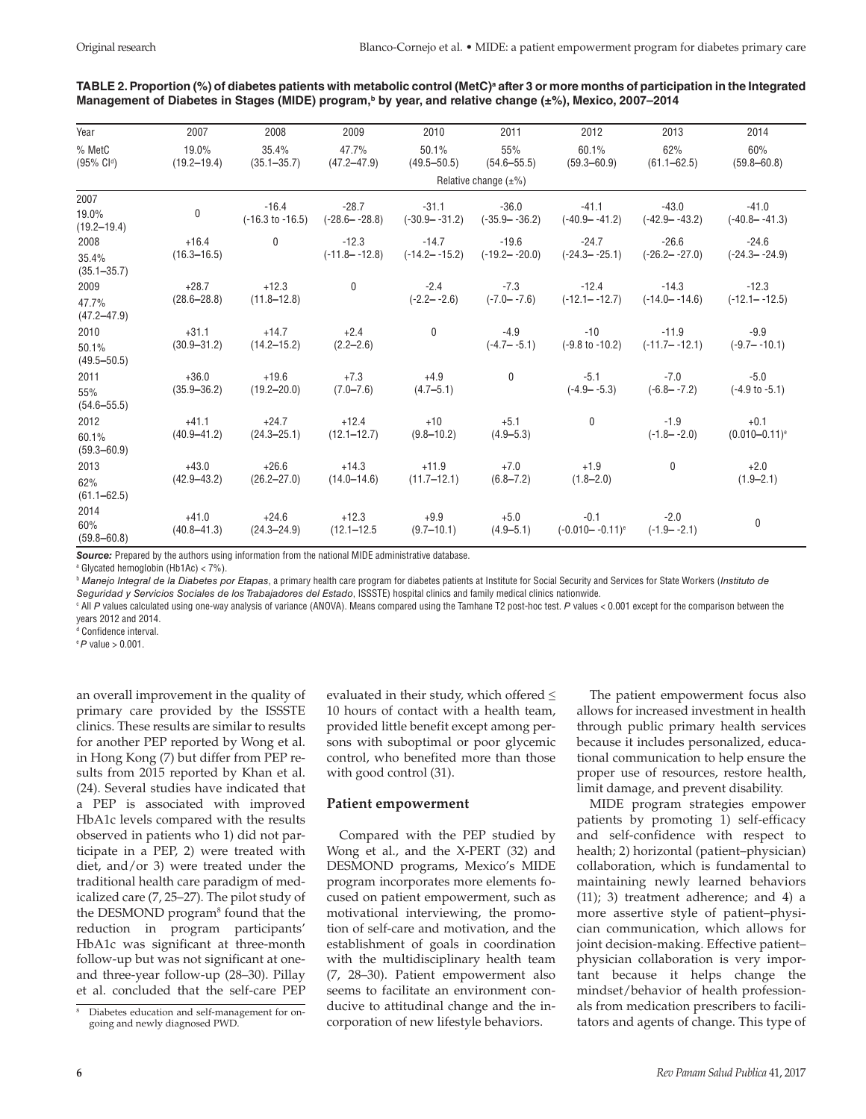| Year                              | 2007                       | 2008                     | 2009                     | 2010                     | 2011                                | 2012                                                                                                               | 2013                                                             | 2014                         |
|-----------------------------------|----------------------------|--------------------------|--------------------------|--------------------------|-------------------------------------|--------------------------------------------------------------------------------------------------------------------|------------------------------------------------------------------|------------------------------|
| % MetC<br>$(95\% \; \text{Cl}^d)$ | 19.0%<br>$(19.2 - 19.4)$   | 35.4%<br>$(35.1 - 35.7)$ | 47.7%<br>$(47.2 - 47.9)$ | 50.1%<br>$(49.5 - 50.5)$ | 55%<br>$(54.6 - 55.5)$              | 60.1%<br>$(59.3 - 60.9)$                                                                                           | 62%<br>$(61.1 - 62.5)$                                           | 60%<br>$(59.8 - 60.8)$       |
|                                   | Relative change $(\pm\%)$  |                          |                          |                          |                                     |                                                                                                                    |                                                                  |                              |
| 2007                              |                            |                          |                          |                          |                                     |                                                                                                                    |                                                                  |                              |
| 19.0%<br>$(19.2 - 19.4)$          | $\pmb{0}$                  | $-16.4$                  | $-28.7$                  | $-31.1$                  | $-36.0$                             | $-41.1$<br>$(-16.3 \text{ to } -16.5)$ $(-28.6 - (-28.8)$ $(-30.9 - (-31.2)$ $(-35.9 - (-36.2)$ $(-40.9 - (-41.2)$ | $-43.0$<br>(-42.9– -43.2)                                        | $-41.0$<br>$(-40.8 - -41.3)$ |
| 2008                              | $+16.4$                    | $\mathbf 0$              | $-12.3$                  | $-14.7$                  | $-19.6$                             | $-24.7$                                                                                                            | $-26.6$                                                          | $-24.6$                      |
| 35.4%<br>$(35.1 - 35.7)$          | $(16.3 - 16.5)$            |                          | $(-11.8 - -12.8)$        |                          | $(-14.2 - -15.2)$ $(-19.2 - -20.0)$ | $(-24.3 - -25.1)$                                                                                                  | $(-26.2 - -27.0)$                                                | $(-24.3 - -24.9)$            |
| 2009                              | $+28.7$                    | $+12.3$                  | $\mathbf 0$              | $-2.4$                   | $-7.3$                              | $-12.4$                                                                                                            | $-14.3$                                                          | $-12.3$                      |
| 47.7%<br>$(47.2 - 47.9)$          | $(28.6 - 28.8)$            | $(11.8 - 12.8)$          |                          | $(-2.2 - -2.6)$          | $(-7.0 - -7.6)$                     | $(-12.1 - -12.7)$                                                                                                  | $(-14.0 - -14.6)$                                                | $(-12.1 - -12.5)$            |
| 2010                              | $+31.1$                    | $+14.7$                  | $+2.4$                   | $\mathbf 0$              | $-4.9$                              | $-10$                                                                                                              | $-11.9$                                                          | $-9.9$                       |
| 50.1%<br>$(49.5 - 50.5)$          | $(30.9 - 31.2)$            | $(14.2 - 15.2)$          | $(2.2 - 2.6)$            |                          | $(-4.7 - -5.1)$                     |                                                                                                                    | $(-9.8 \text{ to } -10.2)$ $(-11.7 - (-12.1)$ $(-9.7 - (-10.1))$ |                              |
| 2011                              | $+36.0$<br>$(35.9 - 36.2)$ | $+19.6$                  | $+7.3$                   | $+4.9$                   | $\mathbf 0$                         | $-5.1$                                                                                                             | $-7.0$                                                           | $-5.0$                       |
| 55%<br>$(54.6 - 55.5)$            |                            | $(19.2 - 20.0)$          | $(7.0 - 7.6)$            | $(4.7 - 5.1)$            |                                     | $(-4.9 - -5.3)$                                                                                                    | $(-6.8 - -7.2)$                                                  | (-4.9 to -5.1)               |
| 2012                              | $+41.1$                    | $+24.7$                  | $+12.4$                  | $+10$                    | $+5.1$                              | $\mathbf{0}$                                                                                                       | $-1.9$                                                           | $+0.1$                       |
| 60.1%<br>$(59.3 - 60.9)$          | $(40.9 - 41.2)$            | $(24.3 - 25.1)$          | $(12.1 - 12.7)$          | $(9.8 - 10.2)$           | $(4.9 - 5.3)$                       |                                                                                                                    | $(-1.8 - -2.0)$                                                  | $(0.010 - 0.11)^e$           |
| 2013                              | $+43.0$<br>$(42.9 - 43.2)$ | $+26.6$                  | $+14.3$                  | $+11.9$                  | $+7.0$                              | $+1.9$                                                                                                             | $\mathbf 0$                                                      | $+2.0$                       |
| 62%<br>$(61.1 - 62.5)$            |                            | $(26.2 - 27.0)$          | $(14.0 - 14.6)$          | $(11.7 - 12.1)$          | $(6.8 - 7.2)$                       | $(1.8 - 2.0)$                                                                                                      |                                                                  | $(1.9 - 2.1)$                |
| 2014                              | $+41.0$                    | $+24.6$                  |                          | $+12.3$ $+9.9$ $+5.0$    |                                     | $-0.1$                                                                                                             | $-2.0$                                                           |                              |
| 60%<br>$(59.8 - 60.8)$            | $(40.8 - 41.3)$            | $(24.3 - 24.9)$          | $(12.1 - 12.5)$          |                          |                                     | $(9.7-10.1)$ $(4.9-5.1)$ $(-0.010-0.11)^{e}$                                                                       | $(-1.9 - -2.1)$                                                  | 0                            |

# TABLE 2. Proportion (%) of diabetes patients with metabolic control (MetC)ª after 3 or more months of participation in the Integrated Management of Diabetes in Stages (MIDE) program,<sup>b</sup> by year, and relative change (±%), Mexico, 2007-2014

**Source:** Prepared by the authors using information from the national MIDE administrative database.

a Glycated hemoglobin (Hb1Ac) < 7%).

<sup>b</sup> *Manejo Integral de la Diabetes por Etapas*, a primary health care program for diabetes patients at Institute for Social Security and Services for State Workers (*Instituto de Seguridad y Servicios Sociales de los Trabajadores del Estado*, ISSSTE) hospital clinics and family medical clinics nationwide.

c All *P* values calculated using one-way analysis of variance (ANOVA). Means compared using the Tamhane T2 post-hoc test. *P* values < 0.001 except for the comparison between the years 2012 and 2014.

<sup>d</sup> Confidence interval.

<sup>e</sup>*P* value > 0.001.

an overall improvement in the quality of primary care provided by the ISSSTE clinics. These results are similar to results for another PEP reported by Wong et al. in Hong Kong (7) but differ from PEP results from 2015 reported by Khan et al. (24). Several studies have indicated that a PEP is associated with improved HbA1c levels compared with the results observed in patients who 1) did not participate in a PEP, 2) were treated with diet, and/or 3) were treated under the traditional health care paradigm of medicalized care (7, 25–27). The pilot study of the DESMOND program<sup>8</sup> found that the reduction in program participants' HbA1c was significant at three-month follow-up but was not significant at oneand three-year follow-up (28–30). Pillay et al. concluded that the self-care PEP

evaluated in their study, which offered  $\leq$ 10 hours of contact with a health team, provided little benefit except among persons with suboptimal or poor glycemic control, who benefited more than those with good control (31).

# **Patient empowerment**

Compared with the PEP studied by Wong et al., and the X-PERT (32) and DESMOND programs, Mexico's MIDE program incorporates more elements focused on patient empowerment, such as motivational interviewing, the promotion of self-care and motivation, and the establishment of goals in coordination with the multidisciplinary health team (7, 28–30). Patient empowerment also seems to facilitate an environment conducive to attitudinal change and the incorporation of new lifestyle behaviors.

The patient empowerment focus also allows for increased investment in health through public primary health services because it includes personalized, educational communication to help ensure the proper use of resources, restore health, limit damage, and prevent disability.

MIDE program strategies empower patients by promoting 1) self-efficacy and self-confidence with respect to health; 2) horizontal (patient–physician) collaboration, which is fundamental to maintaining newly learned behaviors (11); 3) treatment adherence; and 4) a more assertive style of patient–physician communication, which allows for joint decision-making. Effective patient– physician collaboration is very important because it helps change the mindset/behavior of health professionals from medication prescribers to facilitators and agents of change. This type of

Diabetes education and self-management for ongoing and newly diagnosed PWD.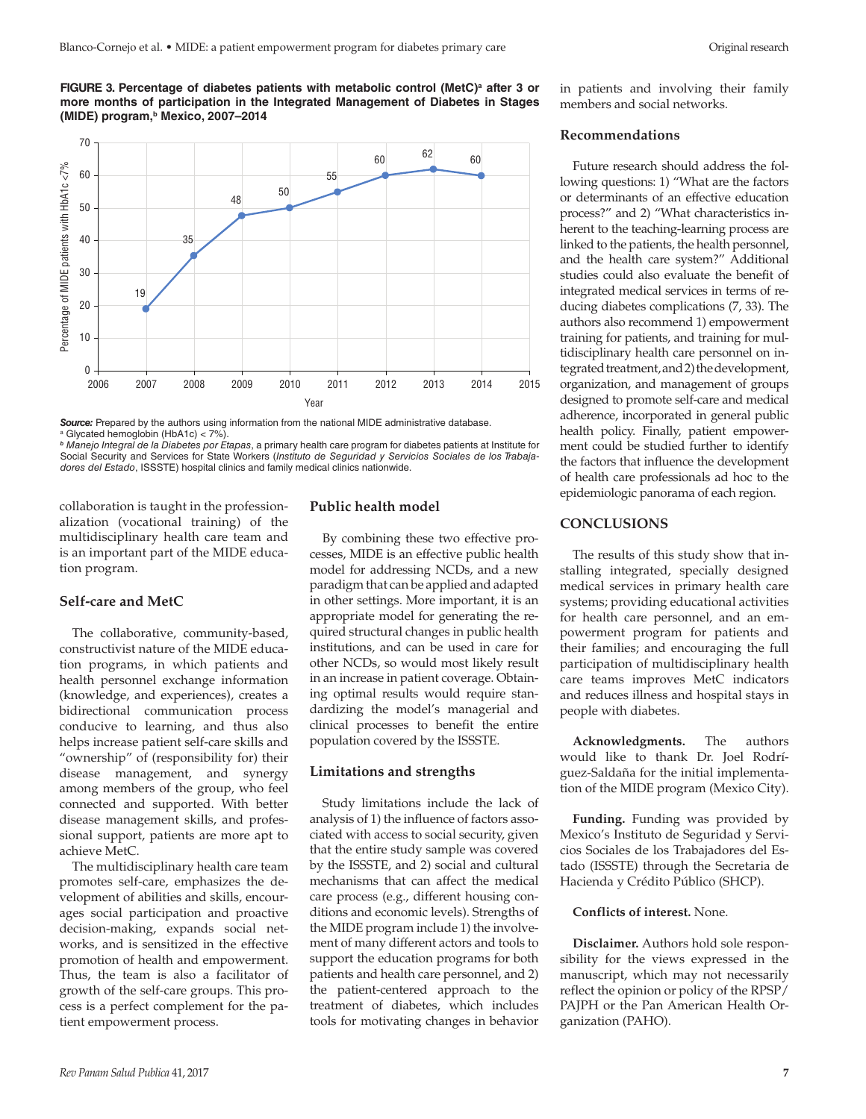FIGURE 3. Percentage of diabetes patients with metabolic control (MetC)<sup>a</sup> after 3 or **more months of participation in the Integrated Management of Diabetes in Stages (MIDE) program,b Mexico, 2007–2014**



**Source:** Prepared by the authors using information from the national MIDE administrative database. <sup>a</sup> Glycated hemoglobin (HbA1c) < 7%).

*<sup>b</sup> Manejo Integral de la Diabetes por Etapas*, a primary health care program for diabetes patients at Institute for Social Security and Services for State Workers (*Instituto de Seguridad y Servicios Sociales de los Trabajadores del Estado*, ISSSTE) hospital clinics and family medical clinics nationwide.

collaboration is taught in the professionalization (vocational training) of the multidisciplinary health care team and is an important part of the MIDE education program.

#### **Self-care and MetC**

The collaborative, community-based, constructivist nature of the MIDE education programs, in which patients and health personnel exchange information (knowledge, and experiences), creates a bidirectional communication process conducive to learning, and thus also helps increase patient self-care skills and "ownership" of (responsibility for) their disease management, and synergy among members of the group, who feel connected and supported. With better disease management skills, and professional support, patients are more apt to achieve MetC.

The multidisciplinary health care team promotes self-care, emphasizes the development of abilities and skills, encourages social participation and proactive decision-making, expands social networks, and is sensitized in the effective promotion of health and empowerment. Thus, the team is also a facilitator of growth of the self-care groups. This process is a perfect complement for the patient empowerment process.

# **Public health model**

By combining these two effective processes, MIDE is an effective public health model for addressing NCDs, and a new paradigm that can be applied and adapted in other settings. More important, it is an appropriate model for generating the required structural changes in public health institutions, and can be used in care for other NCDs, so would most likely result in an increase in patient coverage. Obtaining optimal results would require standardizing the model's managerial and clinical processes to benefit the entire population covered by the ISSSTE.

#### **Limitations and strengths**

Study limitations include the lack of analysis of 1) the influence of factors associated with access to social security, given that the entire study sample was covered by the ISSSTE, and 2) social and cultural mechanisms that can affect the medical care process (e.g., different housing conditions and economic levels). Strengths of the MIDE program include 1) the involvement of many different actors and tools to support the education programs for both patients and health care personnel, and 2) the patient-centered approach to the treatment of diabetes, which includes tools for motivating changes in behavior

in patients and involving their family members and social networks.

### **Recommendations**

Future research should address the following questions: 1) "What are the factors or determinants of an effective education process?" and 2) "What characteristics inherent to the teaching-learning process are linked to the patients, the health personnel, and the health care system?" Additional studies could also evaluate the benefit of integrated medical services in terms of reducing diabetes complications (7, 33). The authors also recommend 1) empowerment training for patients, and training for multidisciplinary health care personnel on integrated treatment, and 2) the development, organization, and management of groups designed to promote self-care and medical adherence, incorporated in general public health policy. Finally, patient empowerment could be studied further to identify the factors that influence the development of health care professionals ad hoc to the epidemiologic panorama of each region.

# **CONCLUSIONS**

The results of this study show that installing integrated, specially designed medical services in primary health care systems; providing educational activities for health care personnel, and an empowerment program for patients and their families; and encouraging the full participation of multidisciplinary health care teams improves MetC indicators and reduces illness and hospital stays in people with diabetes.

**Acknowledgments.** The authors would like to thank Dr. Joel Rodríguez-Saldaña for the initial implementation of the MIDE program (Mexico City).

**Funding.** Funding was provided by Mexico's Instituto de Seguridad y Servicios Sociales de los Trabajadores del Estado (ISSSTE) through the Secretaria de Hacienda y Crédito Público (SHCP).

#### **Conflicts of interest.** None.

**Disclaimer.** Authors hold sole responsibility for the views expressed in the manuscript, which may not necessarily reflect the opinion or policy of the RPSP/ PAJPH or the Pan American Health Organization (PAHO).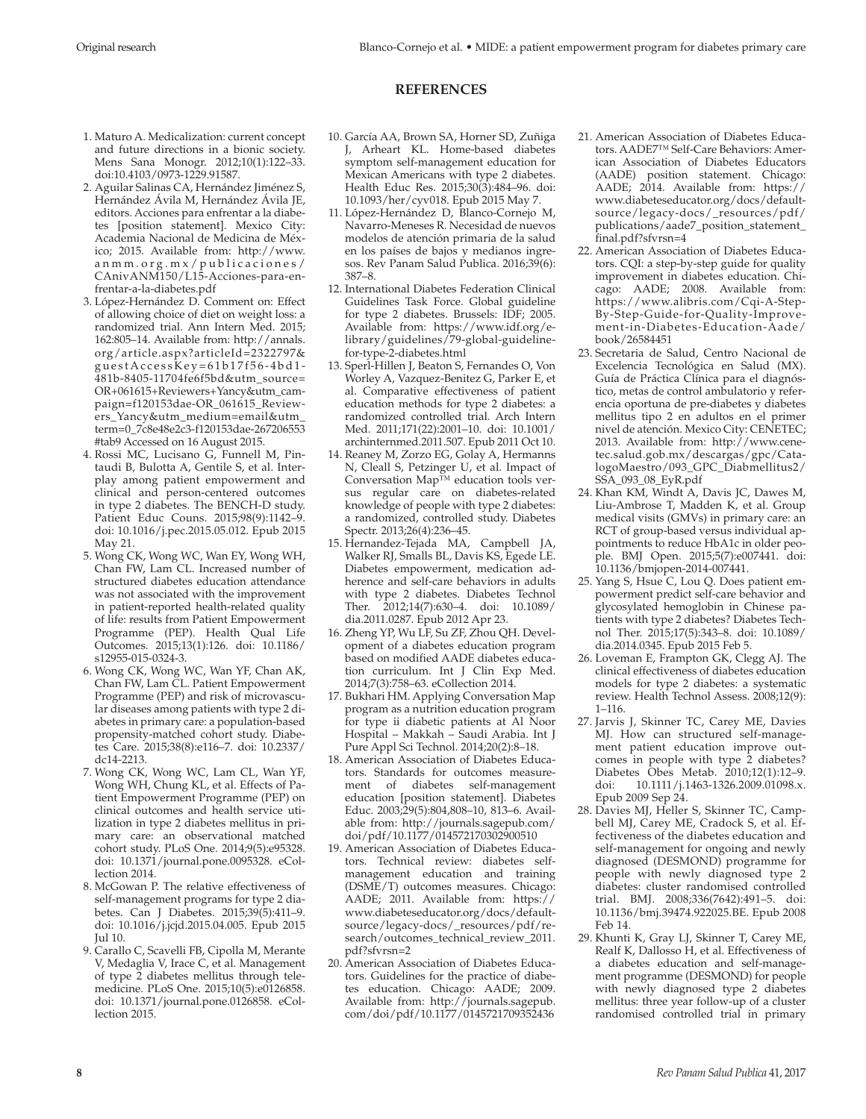# **REFERENCES**

- 1. Maturo A. Medicalization: current concept and future directions in a bionic society. Mens Sana Monogr. 2012;10(1):122–33. doi:10.4103/0973-1229.91587.
- 2. Aguilar Salinas CA, Hernández Jiménez S, Hernández Ávila M, Hernández Ávila JE, editors. Acciones para enfrentar a la diabetes [position statement]. Mexico City: Academia Nacional de Medicina de México; 2015. Available from: [http://www.](http://www.anmm.org.mx/publicaciones/CAnivANM150/L15-Acciones-para-<FEFF>enfr<FEFF>entar<FEFF>-a-la-diabetes.pdf) [anmm.org.mx/publicaciones/](http://www.anmm.org.mx/publicaciones/CAnivANM150/L15-Acciones-para-<FEFF>enfr<FEFF>entar<FEFF>-a-la-diabetes.pdf) [CAnivANM150/L15-Acciones-para-en](http://www.anmm.org.mx/publicaciones/CAnivANM150/L15-Acciones-para-<FEFF>enfr<FEFF>entar<FEFF>-a-la-diabetes.pdf)[frentar-a-la-diabetes.pdf](http://www.anmm.org.mx/publicaciones/CAnivANM150/L15-Acciones-para-<FEFF>enfr<FEFF>entar<FEFF>-a-la-diabetes.pdf)
- 3. López-Hernández D. Comment on: Effect of allowing choice of diet on weight loss: a randomized trial. Ann Intern Med. 2015; 162:805–14. Available from: [http://annals.](http://annals.org/article.aspx?articleId=2322797&guestAccessKey=61b17f56-4bd1-481b-8405-11704fe6f5bd&utm_source=OR+061615+Reviewers+Yancy&utm_campaign=f120153dae-OR_061615_Reviewers_Yancy&utm_medium=email&utm_term=0_7c8e48e2c3-f120153dae-267206553#tab9) [org/article.aspx?articleId=2322797&](http://annals.org/article.aspx?articleId=2322797&guestAccessKey=61b17f56-4bd1-481b-8405-11704fe6f5bd&utm_source=OR+061615+Reviewers+Yancy&utm_campaign=f120153dae-OR_061615_Reviewers_Yancy&utm_medium=email&utm_term=0_7c8e48e2c3-f120153dae-267206553#tab9) [guestAccessKey=61b17f56-4bd1-](http://annals.org/article.aspx?articleId=2322797&guestAccessKey=61b17f56-4bd1-481b-8405-11704fe6f5bd&utm_source=OR+061615+Reviewers+Yancy&utm_campaign=f120153dae-OR_061615_Reviewers_Yancy&utm_medium=email&utm_term=0_7c8e48e2c3-f120153dae-267206553#tab9) [481b-8405-11704fe6f5bd&utm\\_source=](http://annals.org/article.aspx?articleId=2322797&guestAccessKey=61b17f56-4bd1-481b-8405-11704fe6f5bd&utm_source=OR+061615+Reviewers+Yancy&utm_campaign=f120153dae-OR_061615_Reviewers_Yancy&utm_medium=email&utm_term=0_7c8e48e2c3-f120153dae-267206553#tab9) [OR+061615+Reviewers+Yancy&utm\\_cam](http://annals.org/article.aspx?articleId=2322797&guestAccessKey=61b17f56-4bd1-481b-8405-11704fe6f5bd&utm_source=OR+061615+Reviewers+Yancy&utm_campaign=f120153dae-OR_061615_Reviewers_Yancy&utm_medium=email&utm_term=0_7c8e48e2c3-f120153dae-267206553#tab9)[paign=f120153dae-OR\\_061615\\_Review](http://annals.org/article.aspx?articleId=2322797&guestAccessKey=61b17f56-4bd1-481b-8405-11704fe6f5bd&utm_source=OR+061615+Reviewers+Yancy&utm_campaign=f120153dae-OR_061615_Reviewers_Yancy&utm_medium=email&utm_term=0_7c8e48e2c3-f120153dae-267206553#tab9)[ers\\_Yancy&utm\\_medium=email&utm\\_](http://annals.org/article.aspx?articleId=2322797&guestAccessKey=61b17f56-4bd1-481b-8405-11704fe6f5bd&utm_source=OR+061615+Reviewers+Yancy&utm_campaign=f120153dae-OR_061615_Reviewers_Yancy&utm_medium=email&utm_term=0_7c8e48e2c3-f120153dae-267206553#tab9) [term=0\\_7c8e48e2c3-f120153dae-267206553](http://annals.org/article.aspx?articleId=2322797&guestAccessKey=61b17f56-4bd1-481b-8405-11704fe6f5bd&utm_source=OR+061615+Reviewers+Yancy&utm_campaign=f120153dae-OR_061615_Reviewers_Yancy&utm_medium=email&utm_term=0_7c8e48e2c3-f120153dae-267206553#tab9) [#tab9](http://annals.org/article.aspx?articleId=2322797&guestAccessKey=61b17f56-4bd1-481b-8405-11704fe6f5bd&utm_source=OR+061615+Reviewers+Yancy&utm_campaign=f120153dae-OR_061615_Reviewers_Yancy&utm_medium=email&utm_term=0_7c8e48e2c3-f120153dae-267206553#tab9) Accessed on 16 August 2015.
- 4. Rossi MC, Lucisano G, Funnell M, Pintaudi B, Bulotta A, Gentile S, et al. Interplay among patient empowerment and clinical and person-centered outcomes in type 2 diabetes. The BENCH-D study. Patient Educ Couns. 2015;98(9):1142–9. doi: 10.1016/j.pec.2015.05.012. Epub 2015 May 21.
- 5. Wong CK, Wong WC, Wan EY, Wong WH, Chan FW, Lam CL. Increased number of structured diabetes education attendance was not associated with the improvement in patient-reported health-related quality of life: results from Patient Empowerment Programme (PEP). Health Qual Life Outcomes. 2015;13(1):126. doi: 10.1186/ s12955-015-0324-3.
- 6. Wong CK, Wong WC, Wan YF, Chan AK, Chan FW, Lam CL. Patient Empowerment Programme (PEP) and risk of microvascular diseases among patients with type 2 diabetes in primary care: a population-based propensity-matched cohort study. Diabetes Care. 2015;38(8):e116–7. doi: 10.2337/ dc14-2213.
- 7. Wong CK, Wong WC, Lam CL, Wan YF, Wong WH, Chung KL, et al. Effects of Patient Empowerment Programme (PEP) on clinical outcomes and health service utilization in type 2 diabetes mellitus in primary care: an observational matched cohort study. PLoS One. 2014;9(5):e95328. doi: 10.1371/journal.pone.0095328. eCollection 2014.
- 8. McGowan P. The relative effectiveness of self-management programs for type 2 diabetes. Can J Diabetes. 2015;39(5):411–9. doi: 10.1016/j.jcjd.2015.04.005. Epub 2015 Jul 10.
- 9. Carallo C, Scavelli FB, Cipolla M, Merante V, Medaglia V, Irace C, et al. Management of type 2 diabetes mellitus through telemedicine. PLoS One. 2015;10(5):e0126858. doi: 10.1371/journal.pone.0126858. eCollection 2015.
- 10. García AA, Brown SA, Horner SD, Zuñiga J, Arheart KL. Home-based diabetes symptom self-management education for Mexican Americans with type 2 diabetes. Health Educ Res. 2015;30(3):484–96. doi: 10.1093/her/cyv018. Epub 2015 May 7.
- 11. López-Hernández D, Blanco-Cornejo M, Navarro-Meneses R. Necesidad de nuevos modelos de atención primaria de la salud en los países de bajos y medianos ingresos. Rev Panam Salud Publica. 2016;39(6): 387–8.
- 12. International Diabetes Federation Clinical Guidelines Task Force. Global guideline for type 2 diabetes. Brussels: IDF; 2005. Available from: [https://www.idf.org/e](https://www.idf.org/e-library/guidelines/79-global-guideline-for-type-2-diabetes.html)[library/guidelines/79-global-guideline](https://www.idf.org/e-library/guidelines/79-global-guideline-for-type-2-diabetes.html)[for-type-2-diabetes.html](https://www.idf.org/e-library/guidelines/79-global-guideline-for-type-2-diabetes.html)
- 13. Sperl-Hillen J, Beaton S, Fernandes O, Von Worley A, Vazquez-Benitez G, Parker E, et al. Comparative effectiveness of patient education methods for type 2 diabetes: a randomized controlled trial. Arch Intern Med. 2011;171(22):2001–10. doi: 10.1001/ archinternmed.2011.507. Epub 2011 Oct 10.
- 14. Reaney M, Zorzo EG, Golay A, Hermanns N, Cleall S, Petzinger U, et al. Impact of Conversation Map™ education tools versus regular care on diabetes-related knowledge of people with type 2 diabetes: a randomized, controlled study. Diabetes Spectr. 2013;26(4):236–45.
- 15. Hernandez-Tejada MA, Campbell JA, Walker RJ, Smalls BL, Davis KS, Egede LE. Diabetes empowerment, medication adherence and self-care behaviors in adults with type 2 diabetes. Diabetes Technol Ther. 2012;14(7):630–4. doi: 10.1089/ dia.2011.0287. Epub 2012 Apr 23.
- 16. Zheng YP, Wu LF, Su ZF, Zhou QH. Development of a diabetes education program based on modified AADE diabetes education curriculum. Int J Clin Exp Med. 2014;7(3):758–63. eCollection 2014.
- 17. Bukhari HM. Applying Conversation Map program as a nutrition education program for type ii diabetic patients at Al Noor Hospital – Makkah – Saudi Arabia. Int J Pure Appl Sci Technol. 2014;20(2):8–18.
- 18. American Association of Diabetes Educators. Standards for outcomes measurement of diabetes self-management education [position statement]. Diabetes Educ. 2003;29(5):804,808–10, 813–6. Available from: [http://journals.sagepub.com/](http://journals.sagepub.com/doi/pdf/10.1177/014572170302900510) [doi/pdf/10.1177/014572170302900510](http://journals.sagepub.com/doi/pdf/10.1177/014572170302900510)
- 19. American Association of Diabetes Educators. Technical review: diabetes selfmanagement education and training (DSME/T) outcomes measures. Chicago: AADE; 2011. Available from: [https://](https://www.diabeteseducator.org/docs/default-source/legacy-docs/_resources/pdf/research/outcomes_technical_review_2011.pdf?sfvrsn=2) [www.diabeteseducator.org/docs/default](https://www.diabeteseducator.org/docs/default-source/legacy-docs/_resources/pdf/research/outcomes_technical_review_2011.pdf?sfvrsn=2)[source/legacy-docs/\\_resources/pdf/re](https://www.diabeteseducator.org/docs/default-source/legacy-docs/_resources/pdf/research/outcomes_technical_review_2011.pdf?sfvrsn=2)[search/outcomes\\_technical\\_review\\_2011.](https://www.diabeteseducator.org/docs/default-source/legacy-docs/_resources/pdf/research/outcomes_technical_review_2011.pdf?sfvrsn=2) [pdf?sfvrsn=2](https://www.diabeteseducator.org/docs/default-source/legacy-docs/_resources/pdf/research/outcomes_technical_review_2011.pdf?sfvrsn=2)
- 20. American Association of Diabetes Educators. Guidelines for the practice of diabetes education. Chicago: AADE; 2009. Available from: [http://journals.sagepub.](http://journals.sagepub.com/doi/pdf/10.1177/0145721709352436) [com/doi/pdf/10.1177/0145721709352436](http://journals.sagepub.com/doi/pdf/10.1177/0145721709352436)
- 21. American Association of Diabetes Educators. AADE7™ Self-Care Behaviors: American Association of Diabetes Educators (AADE) position statement. Chicago: AADE; 2014. Available from: [https://](https://www.diabeteseducator.org/docs/default-source/legacy-docs/_resources/pdf/publications/aade7_position_statement_final.pdf?sfvrsn=4) [www.diabeteseducator.org/docs/default](https://www.diabeteseducator.org/docs/default-source/legacy-docs/_resources/pdf/publications/aade7_position_statement_final.pdf?sfvrsn=4)[source/legacy-docs/\\_resources/pdf/](https://www.diabeteseducator.org/docs/default-source/legacy-docs/_resources/pdf/publications/aade7_position_statement_final.pdf?sfvrsn=4) [publications/aade7\\_position\\_statement\\_](https://www.diabeteseducator.org/docs/default-source/legacy-docs/_resources/pdf/publications/aade7_position_statement_final.pdf?sfvrsn=4) [final.pdf?sfvrsn=4](https://www.diabeteseducator.org/docs/default-source/legacy-docs/_resources/pdf/publications/aade7_position_statement_final.pdf?sfvrsn=4)
- 22. American Association of Diabetes Educators. CQI: a step-by-step guide for quality improvement in diabetes education. Chicago: AADE; 2008. Available from: [https://www.alibris.com/Cqi-A-Step-](https://www.alibris.com/Cqi-A-Step-By-Step-Guide-for-Quality-Improvement-in-Diabetes-Education-Aade/book/26584451)[By-Step-Guide-for-Quality-Improve](https://www.alibris.com/Cqi-A-Step-By-Step-Guide-for-Quality-Improvement-in-Diabetes-Education-Aade/book/26584451)[ment-in-Diabetes-Education-Aade/](https://www.alibris.com/Cqi-A-Step-By-Step-Guide-for-Quality-Improvement-in-Diabetes-Education-Aade/book/26584451) [book/26584451](https://www.alibris.com/Cqi-A-Step-By-Step-Guide-for-Quality-Improvement-in-Diabetes-Education-Aade/book/26584451)
- 23. Secretaria de Salud, Centro Nacional de Excelencia Tecnológica en Salud (MX). Guía de Práctica Clínica para el diagnóstico, metas de control ambulatorio y referencia oportuna de pre-diabetes y diabetes mellitus tipo 2 en adultos en el primer nivel de atención. Mexico City: CENETEC; 2013. Available from: [http://www.cene](http://www.cenetec.salud.gob.mx/descargas/gpc/CatalogoMaestro/093_GPC_Diabmellitus2/SSA_093_08_EyR.pdf)[tec.salud.gob.mx/descargas/gpc/Cata](http://www.cenetec.salud.gob.mx/descargas/gpc/CatalogoMaestro/093_GPC_Diabmellitus2/SSA_093_08_EyR.pdf)[logoMaestro/093\\_GPC\\_Diabmellitus2/](http://www.cenetec.salud.gob.mx/descargas/gpc/CatalogoMaestro/093_GPC_Diabmellitus2/SSA_093_08_EyR.pdf) [SSA\\_093\\_08\\_EyR.pdf](http://www.cenetec.salud.gob.mx/descargas/gpc/CatalogoMaestro/093_GPC_Diabmellitus2/SSA_093_08_EyR.pdf)
- 24. Khan KM, Windt A, Davis JC, Dawes M, Liu-Ambrose T, Madden K, et al. Group medical visits (GMVs) in primary care: an RCT of group-based versus individual appointments to reduce HbA1c in older people. BMJ Open. 2015;5(7):e007441. doi: 10.1136/bmjopen-2014-007441.
- 25. Yang S, Hsue C, Lou Q. Does patient empowerment predict self-care behavior and glycosylated hemoglobin in Chinese patients with type 2 diabetes? Diabetes Technol Ther. 2015;17(5):343–8. doi: 10.1089/ dia.2014.0345. Epub 2015 Feb 5.
- 26. Loveman E, Frampton GK, Clegg AJ. The clinical effectiveness of diabetes education models for type 2 diabetes: a systematic review. Health Technol Assess. 2008;12(9): 1–116.
- 27. Jarvis J, Skinner TC, Carey ME, Davies MJ. How can structured self-management patient education improve outcomes in people with type 2 diabetes? Diabetes Obes Metab. 2010;12(1):12–9. doi: 10.1111/j.1463-1326.2009.01098.x. Epub 2009 Sep 24.
- 28. Davies MJ, Heller S, Skinner TC, Campbell MJ, Carey ME, Cradock S, et al. Effectiveness of the diabetes education and self-management for ongoing and newly diagnosed (DESMOND) programme for people with newly diagnosed type 2 diabetes: cluster randomised controlled trial. BMJ. 2008;336(7642):491–5. doi: 10.1136/bmj.39474.922025.BE. Epub 2008 Feb 14.
- 29. Khunti K, Gray LJ, Skinner T, Carey ME, Realf K, Dallosso H, et al. Effectiveness of a diabetes education and self-management programme (DESMOND) for people with newly diagnosed type 2 diabetes mellitus: three year follow-up of a cluster randomised controlled trial in primary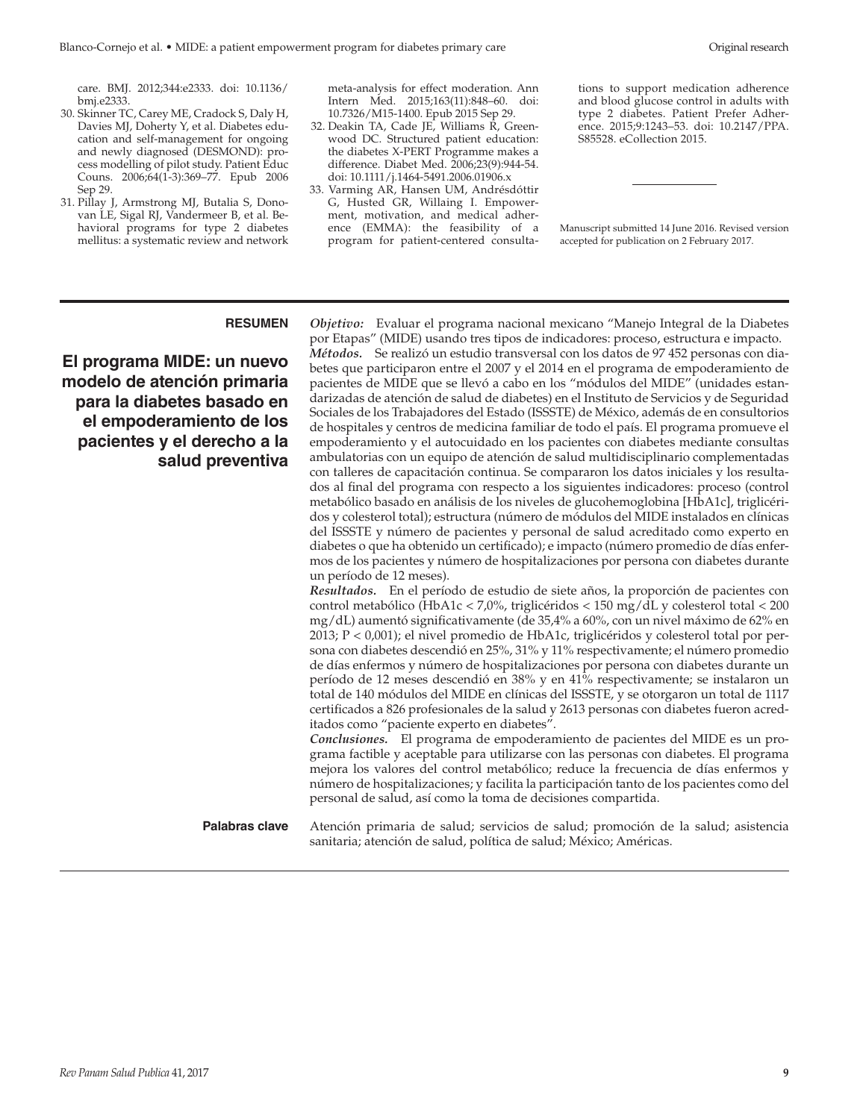care. BMJ. 2012;344:e2333. doi: 10.1136/ bmj.e2333.

- 30. Skinner TC, Carey ME, Cradock S, Daly H, Davies MJ, Doherty Y, et al. Diabetes education and self-management for ongoing and newly diagnosed (DESMOND): process modelling of pilot study. Patient Educ Couns. 2006;64(1-3):369–77. Epub 2006 Sep 29.
- 31. Pillay J, Armstrong MJ, Butalia S, Donovan LE, Sigal RJ, Vandermeer B, et al. Behavioral programs for type 2 diabetes mellitus: a systematic review and network

meta-analysis for effect moderation. Ann Intern Med. 2015;163(11):848–60. doi: 10.7326/M15-1400. Epub 2015 Sep 29.

- 32. Deakin TA, Cade JE, Williams R, Greenwood DC. Structured patient education: the diabetes X-PERT Programme makes a difference. Diabet Med. 2006;23(9):944-54. doi: 10.1111/j.1464-5491.2006.01906.x
- 33. Varming AR, Hansen UM, Andrésdóttir G, Husted GR, Willaing I. Empowerment, motivation, and medical adherence (EMMA): the feasibility of a program for patient-centered consulta-

tions to support medication adherence and blood glucose control in adults with type 2 diabetes. Patient Prefer Adherence. 2015;9:1243–53. doi: 10.2147/PPA. S85528. eCollection 2015.

Manuscript submitted 14 June 2016. Revised version accepted for publication on 2 February 2017.

**El programa MIDE: un nuevo modelo de atención primaria para la diabetes basado en el empoderamiento de los pacientes y el derecho a la salud preventiva**

**RESUMEN** *Objetivo:* Evaluar el programa nacional mexicano "Manejo Integral de la Diabetes por Etapas" (MIDE) usando tres tipos de indicadores: proceso, estructura e impacto. *Métodos.* Se realizó un estudio transversal con los datos de 97 452 personas con diabetes que participaron entre el 2007 y el 2014 en el programa de empoderamiento de pacientes de MIDE que se llevó a cabo en los "módulos del MIDE" (unidades estandarizadas de atención de salud de diabetes) en el Instituto de Servicios y de Seguridad Sociales de los Trabajadores del Estado (ISSSTE) de México, además de en consultorios de hospitales y centros de medicina familiar de todo el país. El programa promueve el empoderamiento y el autocuidado en los pacientes con diabetes mediante consultas ambulatorias con un equipo de atención de salud multidisciplinario complementadas con talleres de capacitación continua. Se compararon los datos iniciales y los resultados al final del programa con respecto a los siguientes indicadores: proceso (control metabólico basado en análisis de los niveles de glucohemoglobina [HbA1c], triglicéridos y colesterol total); estructura (número de módulos del MIDE instalados en clínicas del ISSSTE y número de pacientes y personal de salud acreditado como experto en diabetes o que ha obtenido un certificado); e impacto (número promedio de días enfermos de los pacientes y número de hospitalizaciones por persona con diabetes durante un período de 12 meses). *Resultados.* En el período de estudio de siete años, la proporción de pacientes con

control metabólico (HbA1c < 7,0%, triglicéridos < 150 mg/dL y colesterol total < 200 mg/dL) aumentó significativamente (de 35,4% a 60%, con un nivel máximo de 62% en 2013; P < 0,001); el nivel promedio de HbA1c, triglicéridos y colesterol total por persona con diabetes descendió en 25%, 31% y 11% respectivamente; el número promedio de días enfermos y número de hospitalizaciones por persona con diabetes durante un período de 12 meses descendió en 38% y en 41% respectivamente; se instalaron un total de 140 módulos del MIDE en clínicas del ISSSTE, y se otorgaron un total de 1117 certificados a 826 profesionales de la salud y 2613 personas con diabetes fueron acreditados como "paciente experto en diabetes".

*Conclusiones.* El programa de empoderamiento de pacientes del MIDE es un programa factible y aceptable para utilizarse con las personas con diabetes. El programa mejora los valores del control metabólico; reduce la frecuencia de días enfermos y número de hospitalizaciones; y facilita la participación tanto de los pacientes como del personal de salud, así como la toma de decisiones compartida.

**Palabras clave** Atención primaria de salud; servicios de salud; promoción de la salud; asistencia sanitaria; atención de salud, política de salud; México; Américas.